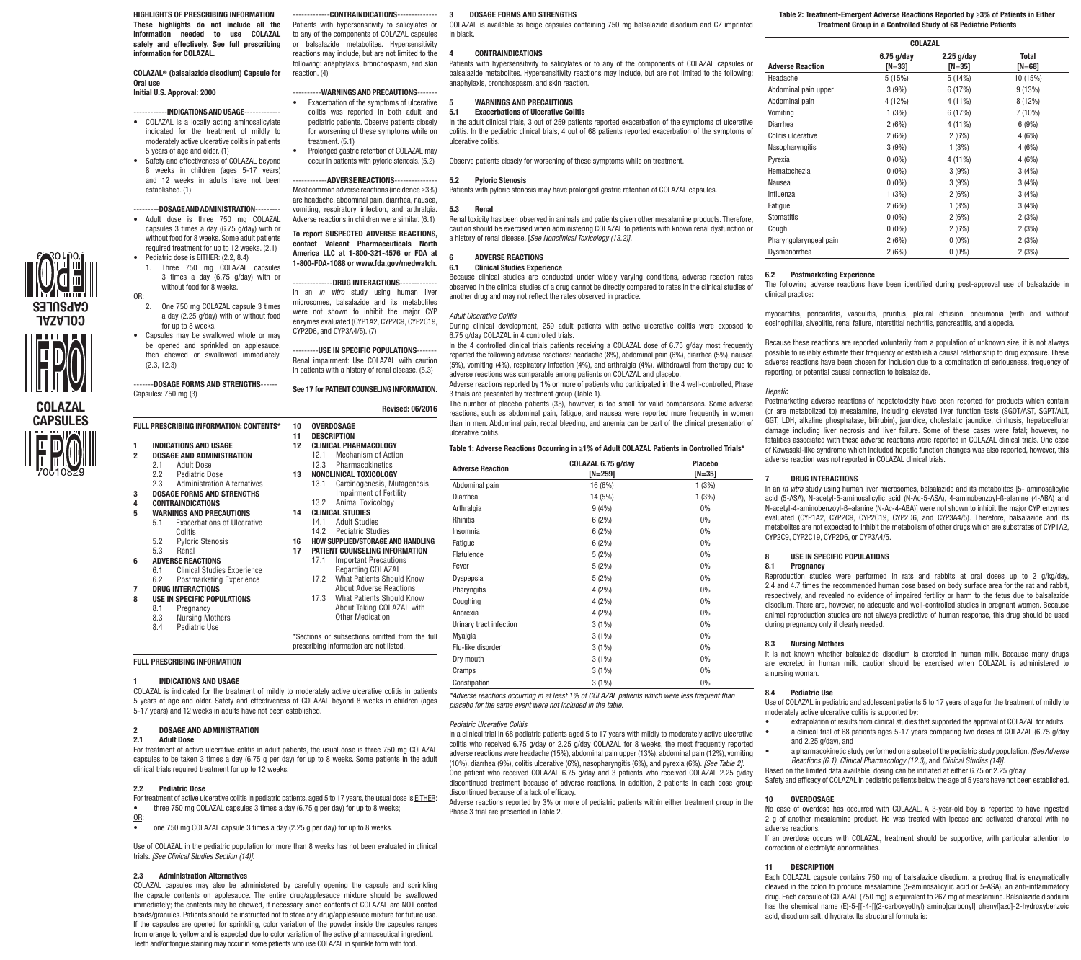HIGHLIGHTS OF PRESCRIBING INFORMATION These highlights do not include all the Patients with hypersensitivity to salicylates or information needed to use COLAZAL to any of the components of COLAZAL capsules safely and effectively. See full prescribing information for COLAZAL.

COLAZAL® (balsalazide disodium) Capsule for Oral use

# Initial U.S. Approval: 2000

- $-$  INDICATIONS AND USAGE- $\cdot$ • COLAZAL is a locally acting aminosalicylate indicated for the treatment of mildly to moderately active ulcerative colitis in patients 5 years of age and older. (1)
- • Safety and effectiveness of COLAZAL beyond 8 weeks in children (ages 5-17 years) and 12 weeks in adults have not been established. (1)

# ---------DOSAGE AND ADMINISTRATION---------

- Adult dose is three 750 mg COLAZAL capsules 3 times a day (6.75 g/day) with or without food for 8 weeks. Some adult patients required treatment for up to 12 weeks. (2.1) • Pediatric dose is **EITHER:** (2.2, 8.4)
- 1. Three 750 mg COLAZAL capsules 3 times a day (6.75 g/day) with or without food for 8 weeks.
- $\frac{\text{OR}}{2}$ One 750 mg COLAZAL capsule 3 times a day (2.25 g/day) with or without food
- for up to 8 weeks. • Capsules may be swallowed whole or may be opened and sprinkled on applesauce, then chewed or swallowed immediately.
- (2.3, 12.3) -------DOSAGE FORMS AND STRENGTHS------



COLAZAL CAPSULES

COLAZAL CAPSULES

- FULL PRESCRIBING INFORMATION: CONTENTS\* 1 INDICATIONS AND USAGE
- 2 DOSAGE AND ADMINISTRATION 2.1 Adult Dose<br>2.2 Pediatric Do
- 2.2 Pediatric Dose<br>2.3 Administration
- Administration Alternatives 3 DOSAGE FORMS AND STRENGTHS
- 4 CONTRAINDICATIONS
- 5 WARNINGS AND PRECAUTIONS 5.1 Exacerbations of Ulcerative
- Colitis
- 5.2 Pyloric Stenosis 5.3 Renal
- 6 ADVERSE REACTIONS
- 6.1 Clinical Studies Experience<br>6.2 Postmarketing Experience Postmarketing Experience
- DRUG INTERACTIONS USE IN SPECIFIC POPULATIONS
- 
- 8.1 Pregnancy<br>8.3 Nursing Me
- 8.3 Nursing Mothers<br>8.4 Pediatric Use Pediatric Use

Other Medication \*Sections or subsections omitted from th prescribing information are not listed.

# FULL PRESCRIBING INFORMATION

### 1 INDICATIONS AND USAGE

COLAZAL is indicated for the treatment of mildly to moderately active ulcerative colitis in patients 5 years of age and older. Safety and effectiveness of COLAZAL beyond 8 weeks in children (ages 5-17 years) and 12 weeks in adults have not been established.

#### 2 DOSAGE AND ADMINISTRATION

#### 2.1 Adult Dose

For treatment of active ulcerative colitis in adult patients, the usual dose is three 750 mg COLAZAL capsules to be taken 3 times a day (6.75 g per day) for up to 8 weeks. Some patients in the adult clinical trials required treatment for up to 12 weeks.

### 2.2 Pediatric Dose

- For treatment of active ulcerative colitis in pediatric patients, aged 5 to 17 years, the usual dose is EITHER: three 750 mg COLAZAL capsules 3 times a day (6.75 g per day) for up to 8 weeks;
- OR:
- one 750 mg COLAZAL capsule 3 times a day (2.25 g per day) for up to 8 weeks.

Use of COLAZAL in the pediatric population for more than 8 weeks has not been evaluated in clinical trials. *[See Clinical Studies Section (14)].*

#### 2.3 Administration Alternatives

COLAZAL capsules may also be administered by carefully opening the capsule and sprinkling the capsule contents on applesauce. The entire drug/applesauce mixture should be swallowed immediately; the contents may be chewed, if necessary, since contents of COLAZAL are NOT coated beads/granules. Patients should be instructed not to store any drug/applesauce mixture for future use. If the capsules are opened for sprinkling, color variation of the powder inside the capsules ranges from orange to yellow and is expected due to color variation of the active pharmaceutical ingredient. Teeth and/or tongue staining may occur in some patients who use COLAZAL in sprinkle form with food.

3 DOSAGE FORMS AND STRENGTHS

COLAZAL is available as beige capsules containing 750 mg balsalazide disodium and CZ imprinted in black.

#### 4 CONTRAINDICATIONS

Patients with hypersensitivity to salicylates or to any of the components of COLAZAL capsules or balsalazide metabolites. Hypersensitivity reactions may include, but are not limited to the following: anaphylaxis, bronchospasm, and skin reaction.

Observe patients closely for worsening of these symptoms while on treatment.

# 5 WARNINGS AND PRECAUTIONS<br>5.1 Exacerbations of Ulcerative Co.

#### **Exacerbations of Ulcerative Colitis**

In the adult clinical trials, 3 out of 259 patients reported exacerbation of the symptoms of ulcerative colitis. In the pediatric clinical trials, 4 out of 68 patients reported exacerbation of the symptoms of ulcerative colitis.

# 5.2 Pyloric Stenosis

Patients with pyloric stenosis may have prolonged gastric retention of COLAZAL capsules.

#### vomiting, respiratory infection, and arthralgia. 5.3 Renal

--CONTRAINDICATIONS----

or balsalazide metabolites. Hypersensitivity reactions may include, but are not limited to the following: anaphylaxis, bronchospasm, and skin

--WARNINGS AND PRECAUTIONS----• Exacerbation of the symptoms of ulcerative colitis was reported in both adult and pediatric patients. Observe patients closely for worsening of these symptoms while on

Prolonged gastric retention of COLAZAL may occur in patients with pyloric stenosis. (5.2) ---ADVERSE REACTIONS---Most common adverse reactions (incidence ≥3%) are headache, abdominal pain, diarrhea, nausea,

Adverse reactions in children were similar. (6.1) To report SUSPECTED ADVERSE REACTIONS, contact Valeant Pharmaceuticals North America LLC at 1-800-321-4576 or FDA at 1-800-FDA-1088 or www.fda.gov/medwatch. ---DRUG INTERACTIONS---In an *in vitro* study using human liver microsomes, balsalazide and its metabolites

---------USE IN SPECIFIC POPULATIONS------- Renal impairment: Use COLAZAL with caution in patients with a history of renal disease. (5.3) See 17 for PATIENT COUNSELING INFORMATION.

12 CLINICAL PHARMACOLOGY 12.1 Mechanism of Action<br>12.3 Pharmacokinetics **Pharmacokinetics** 13 NONCLINICAL TOXICOLOGY 13.1 Carcinogenesis, Mutagenes **Impairment of Fertility**<br>13.2 Animal Toxicology Animal Toxicology

Revised: 06/2016

reaction. (4)

treatment. (5.1)

CYP2D6, and CYP3A4/5). (7)

10 OVERDOSAGE 11 DESCRIPTION<br>12 CLINICAL PHA

14 CLINICAL STUDIES 14.1 Adult Studies<br>14.2 Pediatric Stud **Pediatric Studies** 

Renal toxicity has been observed in animals and patients given other mesalamine products. Therefore, caution should be exercised when administering COLAZAL to patients with known renal dysfunction or a history of renal disease. [*See Nonclinical Toxicology (13.2)].*

# 6 ADVERSE REACTIONS<br>6.1 Clinical Studies Exper

#### 6.1 Clinical Studies Experience

Because clinical studies are conducted under widely varying conditions, adverse reaction rates observed in the clinical studies of a drug cannot be directly compared to rates in the clinical studies of another drug and may not reflect the rates observed in practice.

#### were not shown to inhibit the major CYP enzymes evaluated (CYP1A2, CYP2C9, CYP2C19, *Adult Ulcerative Colitis*

During clinical development, 259 adult patients with active ulcerative colitis were exposed to 6.75 g/day COLAZAL in 4 controlled trials.

In the 4 controlled clinical trials patients receiving a COLAZAL dose of 6.75 g/day most frequently reported the following adverse reactions: headache (8%), abdominal pain (6%), diarrhea (5%), nausea (5%), vomiting (4%), respiratory infection (4%), and arthralgia (4%). Withdrawal from therapy due to adverse reactions was comparable among patients on COLAZAL and placebo.

Adverse reactions reported by 1% or more of patients who participated in the 4 well-controlled, Phase 3 trials are presented by treatment group (Table 1).

The number of placebo patients (35), however, is too small for valid comparisons. Some adverse reactions, such as abdominal pain, fatigue, and nausea were reported more frequently in women than in men. Abdominal pain, rectal bleeding, and anemia can be part of the clinical presentation of ulcerative colitis.

# Table 1: Adverse Reactions Occurring in ≥1% of Adult COLAZAL Patients in Controlled Trials\*

| 12.1                                       | Mechanism of Action                                  |                         |                                 |                            |
|--------------------------------------------|------------------------------------------------------|-------------------------|---------------------------------|----------------------------|
| 12.3                                       | Pharmacokinetics<br>NONCLINICAL TOXICOLOGY           | <b>Adverse Reaction</b> | COLAZAL 6.75 g/day<br>$[N=259]$ | <b>Placebo</b><br>$[N=35]$ |
| 13.1                                       | Carcinogenesis, Mutagenesis,                         | Abdominal pain          | 16 (6%)                         | 1(3%)                      |
|                                            | <b>Impairment of Fertility</b>                       | <b>Diarrhea</b>         | 14 (5%)                         | 1(3%)                      |
| 13.2                                       | Animal Toxicology                                    | Arthralgia              | 9(4%)                           | 0%                         |
| 14.1                                       | <b>CLINICAL STUDIES</b><br><b>Adult Studies</b>      | Rhinitis                | 6(2%)                           | 0%                         |
| 14.2                                       | <b>Pediatric Studies</b>                             | Insomnia                | 6(2%)                           | 0%                         |
|                                            | <b>HOW SUPPLIED/STORAGE AND HANDLING</b>             | Fatigue                 | 6(2%)                           | 0%                         |
|                                            | <b>PATIENT COUNSELING INFORMATION</b>                | Flatulence              | 5(2%)                           | 0%                         |
| 17.1                                       | <b>Important Precautions</b><br>Regarding COLAZAL    | Fever                   | $5(2\%)$                        | 0%                         |
| 17.2                                       | What Patients Should Know                            | Dyspepsia               | $5(2\%)$                        | 0%                         |
|                                            | <b>About Adverse Reactions</b>                       | Pharyngitis             | 4(2%)                           | 0%                         |
| 17.3                                       | What Patients Should Know                            | Coughing                | 4(2%)                           | 0%                         |
|                                            | About Taking COLAZAL with<br><b>Other Medication</b> | Anorexia                | 4(2%)                           | 0%                         |
|                                            |                                                      | Urinary tract infection | $3(1\%)$                        | 0%                         |
| tions or subsections omitted from the full |                                                      | Myalgia                 | $3(1\%)$                        | 0%                         |
| cribing information are not listed.        |                                                      | Flu-like disorder       | $3(1\%)$                        | 0%                         |
|                                            |                                                      | Dry mouth               | $3(1\%)$                        | 0%                         |
|                                            |                                                      | Cramps                  | $3(1\%)$                        | 0%                         |
|                                            |                                                      | Constipation            | $3(1\%)$                        | 0%                         |

*\*Adverse reactions occurring in at least 1% of COLAZAL patients which were less frequent than placebo for the same event were not included in the table.*

#### *Pediatric Ulcerative Colitis*

In a clinical trial in 68 pediatric patients aged 5 to 17 years with mildly to moderately active ulcerative colitis who received 6.75 g/day or 2.25 g/day COLAZAL for 8 weeks, the most frequently reported adverse reactions were headache (15%), abdominal pain upper (13%), abdominal pain (12%), vomiting (10%), diarrhea (9%), colitis ulcerative (6%), nasopharyngitis (6%), and pyrexia (6%). *[See Table 2].* One patient who received COLAZAL 6.75 g/day and 3 patients who received COLAZAL 2.25 g/day discontinued treatment because of adverse reactions. In addition, 2 patients in each dose group discontinued because of a lack of efficacy.

Adverse reactions reported by 3% or more of pediatric patients within either treatment group in the Phase 3 trial are presented in Table 2.

#### Table 2: Treatment-Emergent Adverse Reactions Reported by ≥3% of Patients in Either Treatment Group in a Controlled Study of 68 Pediatric Patients

| COLAZAL                 |                        |                        |                            |  |
|-------------------------|------------------------|------------------------|----------------------------|--|
| <b>Adverse Reaction</b> | $6.75$ g/day<br>[N=33] | $2.25$ g/day<br>[N=35] | <b>Total</b><br>[ $N=68$ ] |  |
| Headache                | 5 (15%)                | 5 (14%)                | 10 (15%)                   |  |
| Abdominal pain upper    | 3(9%)                  | 6 (17%)                | 9(13%)                     |  |
| Abdominal pain          | 4 (12%)                | 4 (11%)                | 8 (12%)                    |  |
| Vomitina                | 1(3%)                  | 6 (17%)                | 7 (10%)                    |  |
| Diarrhea                | 2(6%)                  | 4 (11%)                | 6(9%)                      |  |
| Colitis ulcerative      | 2(6%)                  | 2(6%)                  | 4(6%)                      |  |
| Nasopharyngitis         | 3(9%)                  | 1(3%)                  | 4(6%)                      |  |
| Pyrexia                 | $0(0\%)$               | 4 (11%)                | 4(6%)                      |  |
| Hematochezia            | $0(0\%)$               | 3(9%)                  | 3(4%)                      |  |
| Nausea                  | $0(0\%)$               | 3(9%)                  | 3(4%)                      |  |
| Influenza               | 1(3%)                  | 2(6%)                  | 3(4%)                      |  |
| Fatigue                 | 2(6%)                  | 1(3%)                  | 3(4%)                      |  |
| <b>Stomatitis</b>       | $0(0\%)$               | 2(6%)                  | 2(3%)                      |  |
| Cough                   | $0(0\%)$               | 2(6%)                  | 2(3%)                      |  |
| Pharyngolaryngeal pain  | 2(6%)                  | $0(0\%)$               | 2(3%)                      |  |
| Dysmenorrhea            | 2(6%)                  | $0(0\%)$               | 2(3%)                      |  |

#### 6.2 Postmarketing Experience

The following adverse reactions have been identified during post-approval use of balsalazide in clinical practice:

myocarditis, pericarditis, vasculitis, pruritus, pleural effusion, pneumonia (with and without eosinophilia), alveolitis, renal failure, interstitial nephritis, pancreatitis, and alopecia.

Because these reactions are reported voluntarily from a population of unknown size, it is not always possible to reliably estimate their frequency or establish a causal relationship to drug exposure. These adverse reactions have been chosen for inclusion due to a combination of seriousness, frequency of reporting, or potential causal connection to balsalazide.

#### *Hepatic*

Postmarketing adverse reactions of hepatotoxicity have been reported for products which contain (or are metabolized to) mesalamine, including elevated liver function tests (SGOT/AST, SGPT/ALT, GGT, LDH, alkaline phosphatase, bilirubin), jaundice, cholestatic jaundice, cirrhosis, hepatocellular damage including liver necrosis and liver failure. Some of these cases were fatal; however, no fatalities associated with these adverse reactions were reported in COLAZAL clinical trials. One case of Kawasaki-like syndrome which included hepatic function changes was also reported, however, this adverse reaction was not reported in COLAZAL clinical trials.

#### $-7$  DRUG INTERACTIONS

In an *in vitro* study using human liver microsomes, balsalazide and its metabolites [5- aminosalicylic acid (5-ASA), N-acetyl-5-aminosalicylic acid (N-Ac-5-ASA), 4-aminobenzoyl-ß-alanine (4-ABA) and N-acetyl-4-aminobenzoyl-ß–alanine (N-Ac-4-ABA)] were not shown to inhibit the major CYP enzymes evaluated (CYP1A2, CYP2C9, CYP2C19, CYP2D6, and CYP3A4/5). Therefore, balsalazide and its metabolites are not expected to inhibit the metabolism of other drugs which are substrates of CYP1A2, CYP2C9, CYP2C19, CYP2D6, or CYP3A4/5.

#### USE IN SPECIFIC POPULATIONS

### 8.1 Pregnancy

Reproduction studies were performed in rats and rabbits at oral doses up to 2 g/kg/day, 2.4 and 4.7 times the recommended human dose based on body surface area for the rat and rabbit, respectively, and revealed no evidence of impaired fertility or harm to the fetus due to balsalazide disodium. There are, however, no adequate and well-controlled studies in pregnant women. Because animal reproduction studies are not always predictive of human response, this drug should be used during pregnancy only if clearly needed.

### 8.3 Nursing Mothers

It is not known whether balsalazide disodium is excreted in human milk. Because many drugs are excreted in human milk, caution should be exercised when COLAZAL is administered to a nursing woman.

#### 8.4 Pediatric Use

Use of COLAZAL in pediatric and adolescent patients 5 to 17 years of age for the treatment of mildly to moderately active ulcerative colitis is supported by:

- extrapolation of results from clinical studies that supported the approval of COLAZAL for adults. a clinical trial of 68 patients ages 5-17 years comparing two doses of COLAZAL (6.75 g/day
- and 2.25 g/day), and • a pharmacokinetic study performed on a subset of the pediatric study population. *[See Adverse*
- *Reactions (6.1), Clinical Pharmacology (12.3),* and *Clinical Studies (14)].*
- Based on the limited data available, dosing can be initiated at either 6.75 or 2.25 g/day. Safety and efficacy of COLAZAL in pediatric patients below the age of 5 years have not been established.

#### 10 OVERDOSAGE

No case of overdose has occurred with COLAZAL. A 3-year-old boy is reported to have ingested 2 g of another mesalamine product. He was treated with ipecac and activated charcoal with no adverse reactions.

If an overdose occurs with COLAZAL, treatment should be supportive, with particular attention to correction of electrolyte abnormalities.

#### 11 DESCRIPTION

Each COLAZAL capsule contains 750 mg of balsalazide disodium, a prodrug that is enzymatically cleaved in the colon to produce mesalamine (5‑aminosalicylic acid or 5‑ASA), an anti-inflammatory drug. Each capsule of COLAZAL (750 mg) is equivalent to 267 mg of mesalamine. Balsalazide disodium has the chemical name (E)-5-[[-4-[[(2-carboxyethyl) amino]carbonyl] phenyl]azo]-2-hydroxybenzoic acid, disodium salt, dihydrate. Its structural formula is: